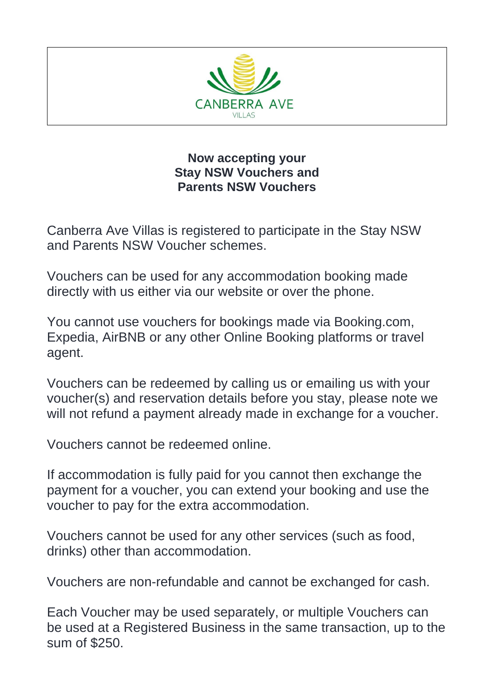

## **Now accepting your Stay NSW Vouchers and Parents NSW Vouchers**

Canberra Ave Villas is registered to participate in the Stay NSW and Parents NSW Voucher schemes.

Vouchers can be used for any accommodation booking made directly with us either via our website or over the phone.

You cannot use vouchers for bookings made via Booking.com, Expedia, AirBNB or any other Online Booking platforms or travel agent.

Vouchers can be redeemed by calling us or emailing us with your voucher(s) and reservation details before you stay, please note we will not refund a payment already made in exchange for a voucher.

Vouchers cannot be redeemed online.

If accommodation is fully paid for you cannot then exchange the payment for a voucher, you can extend your booking and use the voucher to pay for the extra accommodation.

Vouchers cannot be used for any other services (such as food, drinks) other than accommodation.

Vouchers are non-refundable and cannot be exchanged for cash.

Each Voucher may be used separately, or multiple Vouchers can be used at a Registered Business in the same transaction, up to the sum of \$250.